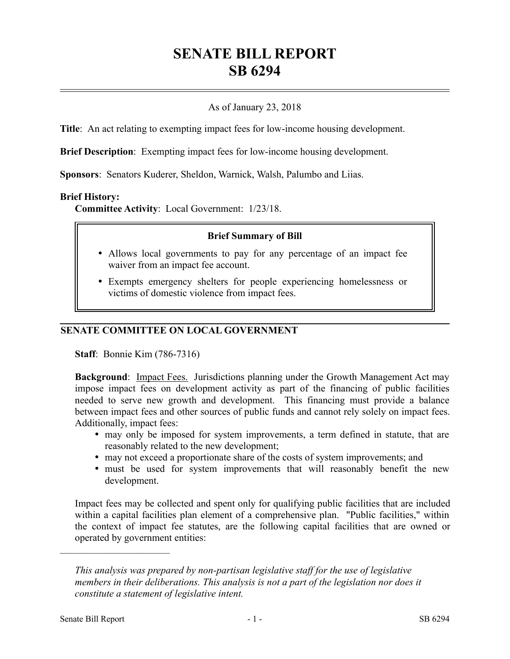# **SENATE BILL REPORT SB 6294**

## As of January 23, 2018

**Title**: An act relating to exempting impact fees for low-income housing development.

**Brief Description**: Exempting impact fees for low-income housing development.

**Sponsors**: Senators Kuderer, Sheldon, Warnick, Walsh, Palumbo and Liias.

#### **Brief History:**

**Committee Activity**: Local Government: 1/23/18.

#### **Brief Summary of Bill**

- Allows local governments to pay for any percentage of an impact fee waiver from an impact fee account.
- Exempts emergency shelters for people experiencing homelessness or victims of domestic violence from impact fees.

### **SENATE COMMITTEE ON LOCAL GOVERNMENT**

**Staff**: Bonnie Kim (786-7316)

**Background**: Impact Fees. Jurisdictions planning under the Growth Management Act may impose impact fees on development activity as part of the financing of public facilities needed to serve new growth and development. This financing must provide a balance between impact fees and other sources of public funds and cannot rely solely on impact fees. Additionally, impact fees:

- may only be imposed for system improvements, a term defined in statute, that are reasonably related to the new development;
- may not exceed a proportionate share of the costs of system improvements; and
- must be used for system improvements that will reasonably benefit the new development.

Impact fees may be collected and spent only for qualifying public facilities that are included within a capital facilities plan element of a comprehensive plan. "Public facilities," within the context of impact fee statutes, are the following capital facilities that are owned or operated by government entities:

––––––––––––––––––––––

*This analysis was prepared by non-partisan legislative staff for the use of legislative members in their deliberations. This analysis is not a part of the legislation nor does it constitute a statement of legislative intent.*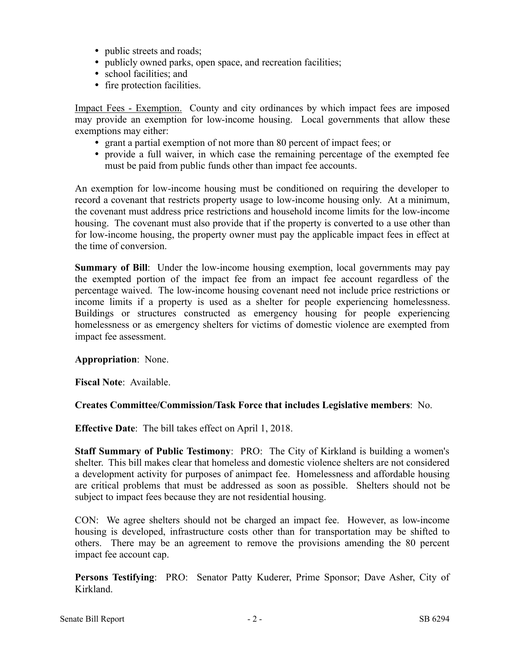- public streets and roads;
- publicly owned parks, open space, and recreation facilities;
- school facilities; and
- fire protection facilities.

Impact Fees - Exemption. County and city ordinances by which impact fees are imposed may provide an exemption for low-income housing. Local governments that allow these exemptions may either:

- grant a partial exemption of not more than 80 percent of impact fees; or
- provide a full waiver, in which case the remaining percentage of the exempted fee must be paid from public funds other than impact fee accounts.

An exemption for low-income housing must be conditioned on requiring the developer to record a covenant that restricts property usage to low-income housing only. At a minimum, the covenant must address price restrictions and household income limits for the low-income housing. The covenant must also provide that if the property is converted to a use other than for low-income housing, the property owner must pay the applicable impact fees in effect at the time of conversion.

**Summary of Bill**: Under the low-income housing exemption, local governments may pay the exempted portion of the impact fee from an impact fee account regardless of the percentage waived. The low-income housing covenant need not include price restrictions or income limits if a property is used as a shelter for people experiencing homelessness. Buildings or structures constructed as emergency housing for people experiencing homelessness or as emergency shelters for victims of domestic violence are exempted from impact fee assessment.

#### **Appropriation**: None.

**Fiscal Note**: Available.

#### **Creates Committee/Commission/Task Force that includes Legislative members**: No.

**Effective Date**: The bill takes effect on April 1, 2018.

**Staff Summary of Public Testimony**: PRO: The City of Kirkland is building a women's shelter. This bill makes clear that homeless and domestic violence shelters are not considered a development activity for purposes of animpact fee. Homelessness and affordable housing are critical problems that must be addressed as soon as possible. Shelters should not be subject to impact fees because they are not residential housing.

CON: We agree shelters should not be charged an impact fee. However, as low-income housing is developed, infrastructure costs other than for transportation may be shifted to others. There may be an agreement to remove the provisions amending the 80 percent impact fee account cap.

**Persons Testifying**: PRO: Senator Patty Kuderer, Prime Sponsor; Dave Asher, City of Kirkland.